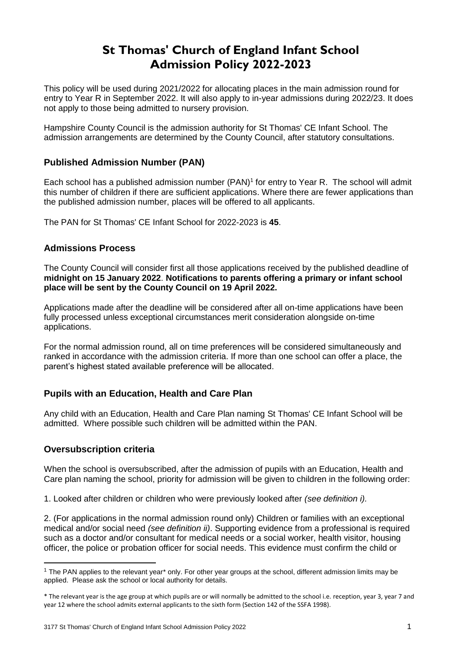# **St Thomas' Church of England Infant School Admission Policy 2022-2023**

This policy will be used during 2021/2022 for allocating places in the main admission round for entry to Year R in September 2022. It will also apply to in-year admissions during 2022/23. It does not apply to those being admitted to nursery provision.

Hampshire County Council is the admission authority for St Thomas' CE Infant School. The admission arrangements are determined by the County Council, after statutory consultations.

# **Published Admission Number (PAN)**

Each school has a published admission number (PAN) 1 for entry to Year R. The school will admit this number of children if there are sufficient applications. Where there are fewer applications than the published admission number, places will be offered to all applicants.

The PAN for St Thomas' CE Infant School for 2022-2023 is **45**.

# **Admissions Process**

The County Council will consider first all those applications received by the published deadline of **midnight on 15 January 2022**. **Notifications to parents offering a primary or infant school place will be sent by the County Council on 19 April 2022.**

Applications made after the deadline will be considered after all on-time applications have been fully processed unless exceptional circumstances merit consideration alongside on-time applications.

For the normal admission round, all on time preferences will be considered simultaneously and ranked in accordance with the admission criteria. If more than one school can offer a place, the parent's highest stated available preference will be allocated.

# **Pupils with an Education, Health and Care Plan**

Any child with an Education, Health and Care Plan naming St Thomas' CE Infant School will be admitted. Where possible such children will be admitted within the PAN.

# **Oversubscription criteria**

**.** 

When the school is oversubscribed, after the admission of pupils with an Education, Health and Care plan naming the school, priority for admission will be given to children in the following order:

1. Looked after children or children who were previously looked after *(see definition i).* 

2. (For applications in the normal admission round only) Children or families with an exceptional medical and/or social need *(see definition ii)*. Supporting evidence from a professional is required such as a doctor and/or consultant for medical needs or a social worker, health visitor, housing officer, the police or probation officer for social needs. This evidence must confirm the child or

<sup>1</sup> The PAN applies to the relevant year\* only. For other year groups at the school, different admission limits may be applied. Please ask the school or local authority for details.

<sup>\*</sup> The relevant year is the age group at which pupils are or will normally be admitted to the school i.e. reception, year 3, year 7 and year 12 where the school admits external applicants to the sixth form (Section 142 of the SSFA 1998).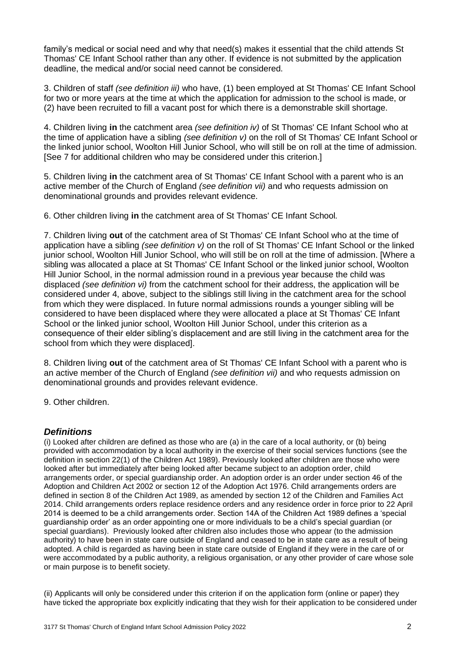family's medical or social need and why that need(s) makes it essential that the child attends St Thomas' CE Infant School rather than any other. If evidence is not submitted by the application deadline, the medical and/or social need cannot be considered.

3. Children of staff *(see definition iii)* who have, (1) been employed at St Thomas' CE Infant School for two or more years at the time at which the application for admission to the school is made, or (2) have been recruited to fill a vacant post for which there is a demonstrable skill shortage.

4. Children living **in** the catchment area *(see definition iv)* of St Thomas' CE Infant School who at the time of application have a sibling *(see definition v)* on the roll of St Thomas' CE Infant School or the linked junior school, Woolton Hill Junior School, who will still be on roll at the time of admission. [See 7 for additional children who may be considered under this criterion.]

5. Children living **in** the catchment area of St Thomas' CE Infant School with a parent who is an active member of the Church of England *(see definition vii)* and who requests admission on denominational grounds and provides relevant evidence.

6. Other children living **in** the catchment area of St Thomas' CE Infant School*.*

7. Children living **out** of the catchment area of St Thomas' CE Infant School who at the time of application have a sibling *(see definition v)* on the roll of St Thomas' CE Infant School or the linked junior school, Woolton Hill Junior School, who will still be on roll at the time of admission. [Where a sibling was allocated a place at St Thomas' CE Infant School or the linked junior school, Woolton Hill Junior School, in the normal admission round in a previous year because the child was displaced *(see definition vi)* from the catchment school for their address, the application will be considered under 4, above, subject to the siblings still living in the catchment area for the school from which they were displaced. In future normal admissions rounds a younger sibling will be considered to have been displaced where they were allocated a place at St Thomas' CE Infant School or the linked junior school, Woolton Hill Junior School, under this criterion as a consequence of their elder sibling's displacement and are still living in the catchment area for the school from which they were displaced].

8. Children living **out** of the catchment area of St Thomas' CE Infant School with a parent who is an active member of the Church of England *(see definition vii)* and who requests admission on denominational grounds and provides relevant evidence.

9. Other children.

## *Definitions*

(i) Looked after children are defined as those who are (a) in the care of a local authority, or (b) being provided with accommodation by a local authority in the exercise of their social services functions (see the definition in section 22(1) of the Children Act 1989). Previously looked after children are those who were looked after but immediately after being looked after became subject to an adoption order, child arrangements order, or special guardianship order. An adoption order is an order under section 46 of the Adoption and Children Act 2002 or section 12 of the Adoption Act 1976. Child arrangements orders are defined in section 8 of the Children Act 1989, as amended by section 12 of the Children and Families Act 2014. Child arrangements orders replace residence orders and any residence order in force prior to 22 April 2014 is deemed to be a child arrangements order. Section 14A of the Children Act 1989 defines a 'special guardianship order' as an order appointing one or more individuals to be a child's special guardian (or special guardians). Previously looked after children also includes those who appear (to the admission authority) to have been in state care outside of England and ceased to be in state care as a result of being adopted. A child is regarded as having been in state care outside of England if they were in the care of or were accommodated by a public authority, a religious organisation, or any other provider of care whose sole or main purpose is to benefit society.

(ii) Applicants will only be considered under this criterion if on the application form (online or paper) they have ticked the appropriate box explicitly indicating that they wish for their application to be considered under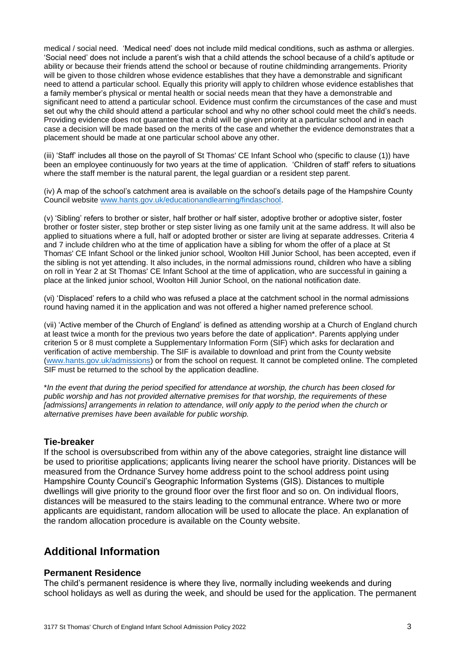medical / social need. 'Medical need' does not include mild medical conditions, such as asthma or allergies. 'Social need' does not include a parent's wish that a child attends the school because of a child's aptitude or ability or because their friends attend the school or because of routine childminding arrangements. Priority will be given to those children whose evidence establishes that they have a demonstrable and significant need to attend a particular school. Equally this priority will apply to children whose evidence establishes that a family member's physical or mental health or social needs mean that they have a demonstrable and significant need to attend a particular school. Evidence must confirm the circumstances of the case and must set out why the child should attend a particular school and why no other school could meet the child's needs. Providing evidence does not guarantee that a child will be given priority at a particular school and in each case a decision will be made based on the merits of the case and whether the evidence demonstrates that a placement should be made at one particular school above any other.

(iii) 'Staff' includes all those on the payroll of St Thomas' CE Infant School who (specific to clause (1)) have been an employee continuously for two years at the time of application. 'Children of staff' refers to situations where the staff member is the natural parent, the legal guardian or a resident step parent.

(iv) A map of the school's catchment area is available on the school's details page of the Hampshire County Council website [www.hants.gov.uk/educationandlearning/findaschool.](http://www.hants.gov.uk/educationandlearning/findaschool)

(v) 'Sibling' refers to brother or sister, half brother or half sister, adoptive brother or adoptive sister, foster brother or foster sister, step brother or step sister living as one family unit at the same address. It will also be applied to situations where a full, half or adopted brother or sister are living at separate addresses. Criteria 4 and 7 include children who at the time of application have a sibling for whom the offer of a place at St Thomas' CE Infant School or the linked junior school, Woolton Hill Junior School, has been accepted, even if the sibling is not yet attending. It also includes, in the normal admissions round, children who have a sibling on roll in Year 2 at St Thomas' CE Infant School at the time of application, who are successful in gaining a place at the linked junior school, Woolton Hill Junior School, on the national notification date.

(vi) 'Displaced' refers to a child who was refused a place at the catchment school in the normal admissions round having named it in the application and was not offered a higher named preference school.

(vii) 'Active member of the Church of England' is defined as attending worship at a Church of England church at least twice a month for the previous two years before the date of application\*. Parents applying under criterion 5 or 8 must complete a Supplementary Information Form (SIF) which asks for declaration and verification of active membership. The SIF is available to download and print from the County website [\(www.hants.gov.uk/admissions\)](http://www.hants.gov.uk/admissions) or from the school on request. It cannot be completed online. The completed SIF must be returned to the school by the application deadline.

\**In the event that during the period specified for attendance at worship, the church has been closed for public worship and has not provided alternative premises for that worship, the requirements of these [admissions] arrangements in relation to attendance, will only apply to the period when the church or alternative premises have been available for public worship.*

## **Tie-breaker**

If the school is oversubscribed from within any of the above categories, straight line distance will be used to prioritise applications; applicants living nearer the school have priority. Distances will be measured from the Ordnance Survey home address point to the school address point using Hampshire County Council's Geographic Information Systems (GIS). Distances to multiple dwellings will give priority to the ground floor over the first floor and so on. On individual floors, distances will be measured to the stairs leading to the communal entrance. Where two or more applicants are equidistant, random allocation will be used to allocate the place. An explanation of the random allocation procedure is available on the County website.

# **Additional Information**

#### **Permanent Residence**

The child's permanent residence is where they live, normally including weekends and during school holidays as well as during the week, and should be used for the application. The permanent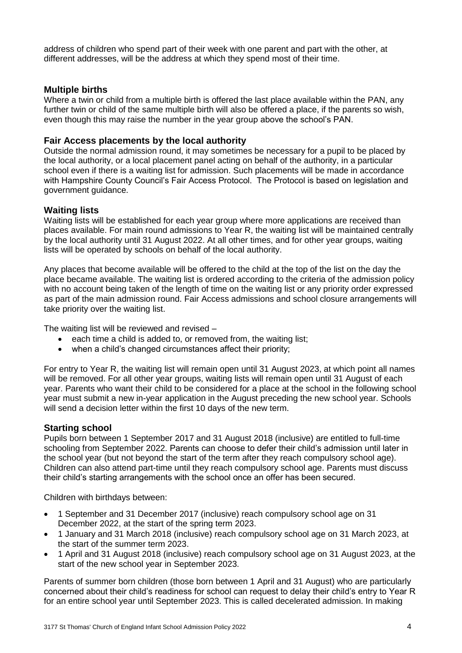address of children who spend part of their week with one parent and part with the other, at different addresses, will be the address at which they spend most of their time.

## **Multiple births**

Where a twin or child from a multiple birth is offered the last place available within the PAN, any further twin or child of the same multiple birth will also be offered a place, if the parents so wish, even though this may raise the number in the year group above the school's PAN.

## **Fair Access placements by the local authority**

Outside the normal admission round, it may sometimes be necessary for a pupil to be placed by the local authority, or a local placement panel acting on behalf of the authority, in a particular school even if there is a waiting list for admission. Such placements will be made in accordance with Hampshire County Council's Fair Access Protocol. The Protocol is based on legislation and government guidance.

## **Waiting lists**

Waiting lists will be established for each year group where more applications are received than places available. For main round admissions to Year R, the waiting list will be maintained centrally by the local authority until 31 August 2022. At all other times, and for other year groups, waiting lists will be operated by schools on behalf of the local authority.

Any places that become available will be offered to the child at the top of the list on the day the place became available. The waiting list is ordered according to the criteria of the admission policy with no account being taken of the length of time on the waiting list or any priority order expressed as part of the main admission round. Fair Access admissions and school closure arrangements will take priority over the waiting list.

The waiting list will be reviewed and revised –

- each time a child is added to, or removed from, the waiting list;
- when a child's changed circumstances affect their priority;

For entry to Year R, the waiting list will remain open until 31 August 2023, at which point all names will be removed. For all other year groups, waiting lists will remain open until 31 August of each year. Parents who want their child to be considered for a place at the school in the following school year must submit a new in-year application in the August preceding the new school year. Schools will send a decision letter within the first 10 days of the new term.

## **Starting school**

Pupils born between 1 September 2017 and 31 August 2018 (inclusive) are entitled to full-time schooling from September 2022. Parents can choose to defer their child's admission until later in the school year (but not beyond the start of the term after they reach compulsory school age). Children can also attend part-time until they reach compulsory school age. Parents must discuss their child's starting arrangements with the school once an offer has been secured.

Children with birthdays between:

- 1 September and 31 December 2017 (inclusive) reach compulsory school age on 31 December 2022, at the start of the spring term 2023.
- 1 January and 31 March 2018 (inclusive) reach compulsory school age on 31 March 2023, at the start of the summer term 2023.
- 1 April and 31 August 2018 (inclusive) reach compulsory school age on 31 August 2023, at the start of the new school year in September 2023.

Parents of summer born children (those born between 1 April and 31 August) who are particularly concerned about their child's readiness for school can request to delay their child's entry to Year R for an entire school year until September 2023. This is called decelerated admission. In making